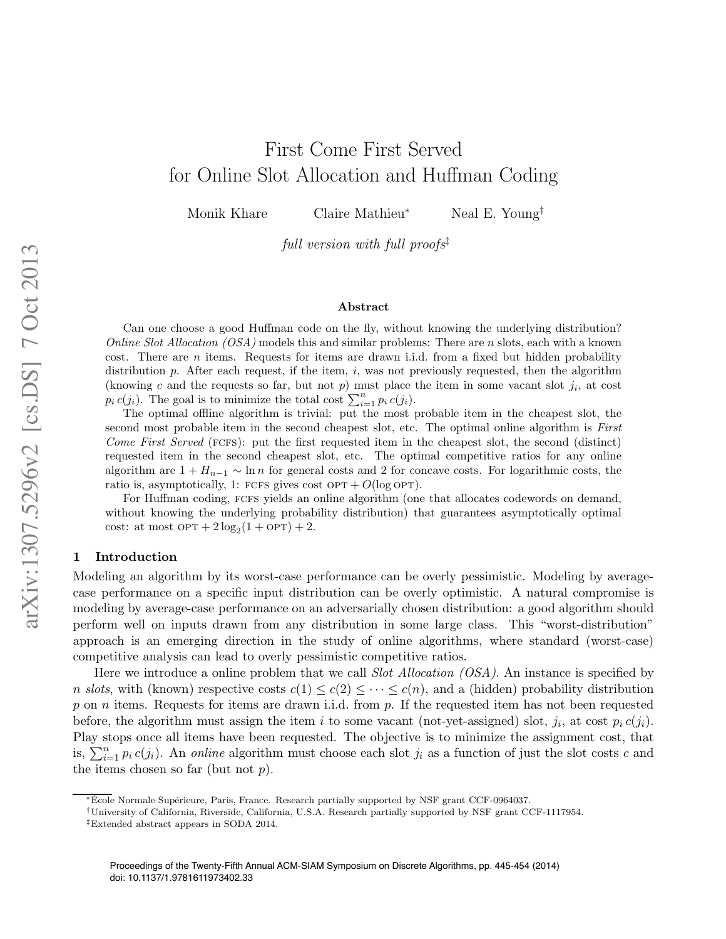# First Come First Served for Online Slot Allocation and Huffman Coding

Monik Khare Claire Mathieu<sup>\*</sup> Neal E. Young<sup>†</sup>

full version with full proofs<sup>†</sup>

#### Abstract

Can one choose a good Huffman code on the fly, without knowing the underlying distribution? *Online Slot Allocation (OSA)* models this and similar problems: There are *n* slots, each with a known cost. There are  $n$  items. Requests for items are drawn i.i.d. from a fixed but hidden probability distribution  $p$ . After each request, if the item,  $i$ , was not previously requested, then the algorithm (knowing c and the requests so far, but not p) must place the item in some vacant slot  $j_i$ , at cost  $p_i c(j_i)$ . The goal is to minimize the total cost  $\sum_{i=1}^n p_i c(j_i)$ .

The optimal offline algorithm is trivial: put the most probable item in the cheapest slot, the second most probable item in the second cheapest slot, etc. The optimal online algorithm is First Come First Served ( $FCFS$ ): put the first requested item in the cheapest slot, the second (distinct) requested item in the second cheapest slot, etc. The optimal competitive ratios for any online algorithm are  $1 + H_{n-1} \sim \ln n$  for general costs and 2 for concave costs. For logarithmic costs, the ratio is, asymptotically, 1: FCFS gives cost  $OPT + O(\log OPT)$ .

For Huffman coding, FCFS yields an online algorithm (one that allocates codewords on demand, without knowing the underlying probability distribution) that guarantees asymptotically optimal cost: at most  $OPT + 2 \log_2(1 + OPT) + 2$ .

### 1 Introduction

Modeling an algorithm by its worst-case performance can be overly pessimistic. Modeling by averagecase performance on a specific input distribution can be overly optimistic. A natural compromise is modeling by average-case performance on an adversarially chosen distribution: a good algorithm should perform well on inputs drawn from any distribution in some large class. This "worst-distribution" approach is an emerging direction in the study of online algorithms, where standard (worst-case) competitive analysis can lead to overly pessimistic competitive ratios.

Here we introduce a online problem that we call *Slot Allocation (OSA)*. An instance is specified by n slots, with (known) respective costs  $c(1) \leq c(2) \leq \cdots \leq c(n)$ , and a (hidden) probability distribution p on n items. Requests for items are drawn i.i.d. from p. If the requested item has not been requested before, the algorithm must assign the item i to some vacant (not-yet-assigned) slot,  $j_i$ , at cost  $p_i c(j_i)$ . Play stops once all items have been requested. The objective is to minimize the assignment cost, that is,  $\sum_{i=1}^{n} p_i c(j_i)$ . An *online* algorithm must choose each slot  $j_i$  as a function of just the slot costs c and the items chosen so far (but not  $p$ ).

<sup>\*</sup>Ecole Normale Supérieure, Paris, France. Research partially supported by NSF grant CCF-0964037.

<sup>†</sup>University of California, Riverside, California, U.S.A. Research partially supported by NSF grant CCF-1117954.

<sup>‡</sup>Extended abstract appears in SODA 2014.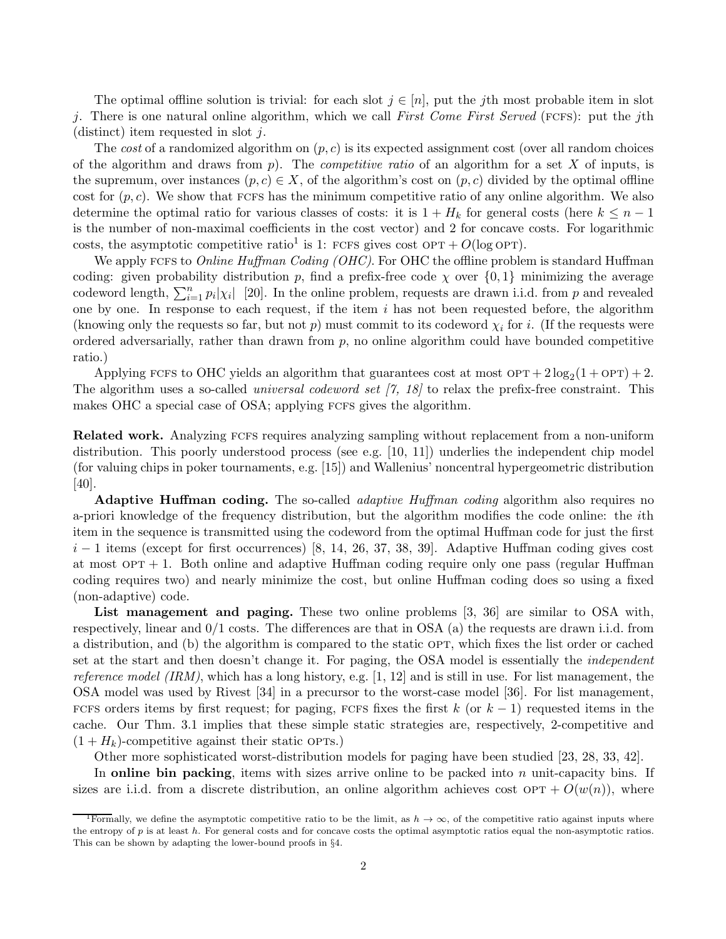The optimal offline solution is trivial: for each slot  $j \in [n]$ , put the jth most probable item in slot j. There is one natural online algorithm, which we call First Come First Served (FCFS): put the jth (distinct) item requested in slot  $j$ .

The cost of a randomized algorithm on  $(p, c)$  is its expected assignment cost (over all random choices of the algorithm and draws from  $p$ ). The *competitive ratio* of an algorithm for a set X of inputs, is the supremum, over instances  $(p, c) \in X$ , of the algorithm's cost on  $(p, c)$  divided by the optimal offline cost for  $(p, c)$ . We show that FCFS has the minimum competitive ratio of any online algorithm. We also determine the optimal ratio for various classes of costs: it is  $1 + H_k$  for general costs (here  $k \leq n - 1$ is the number of non-maximal coefficients in the cost vector) and 2 for concave costs. For logarithmic costs, the asymptotic competitive ratio<sup>[1](#page-1-0)</sup> is 1: FCFS gives cost OPT +  $O(\log \text{OPT})$ .

We apply FCFS to *Online Huffman Coding (OHC)*. For OHC the offline problem is standard Huffman coding: given probability distribution p, find a prefix-free code  $\chi$  over  $\{0,1\}$  minimizing the average codeword length,  $\sum_{i=1}^{n} p_i |\chi_i|$  [\[20\]](#page-14-0). In the online problem, requests are drawn i.i.d. from p and revealed one by one. In response to each request, if the item  $i$  has not been requested before, the algorithm (knowing only the requests so far, but not p) must commit to its codeword  $\chi_i$  for i. (If the requests were ordered adversarially, rather than drawn from  $p$ , no online algorithm could have bounded competitive ratio.)

Applying FCFs to OHC yields an algorithm that guarantees cost at most  $\text{OPT} + 2 \log_2(1 + \text{OPT}) + 2$ . The algorithm uses a so-called *universal codeword set*  $(7, 18)$  to relax the prefix-free constraint. This makes OHC a special case of OSA; applying FCFS gives the algorithm.

Related work. Analyzing fcfs requires analyzing sampling without replacement from a non-uniform distribution. This poorly understood process (see e.g. [\[10,](#page-14-3) [11\]](#page-14-4)) underlies the independent chip model (for valuing chips in poker tournaments, e.g. [\[15\]](#page-14-5)) and Wallenius' noncentral hypergeometric distribution [\[40\]](#page-15-0).

**Adaptive Huffman coding.** The so-called *adaptive Huffman coding* algorithm also requires no a-priori knowledge of the frequency distribution, but the algorithm modifies the code online: the ith item in the sequence is transmitted using the codeword from the optimal Huffman code for just the first  $i-1$  items (except for first occurrences) [\[8,](#page-14-6) [14,](#page-14-7) [26,](#page-14-8) [37,](#page-15-1) [38,](#page-15-2) [39\]](#page-15-3). Adaptive Huffman coding gives cost at most  $OPT + 1$ . Both online and adaptive Huffman coding require only one pass (regular Huffman coding requires two) and nearly minimize the cost, but online Huffman coding does so using a fixed (non-adaptive) code.

List management and paging. These two online problems [\[3,](#page-13-0) [36\]](#page-15-4) are similar to OSA with, respectively, linear and 0/1 costs. The differences are that in OSA (a) the requests are drawn i.i.d. from a distribution, and (b) the algorithm is compared to the static OPT, which fixes the list order or cached set at the start and then doesn't change it. For paging, the OSA model is essentially the independent reference model (IRM), which has a long history, e.g.  $[1, 12]$  $[1, 12]$  and is still in use. For list management, the OSA model was used by Rivest [\[34\]](#page-15-5) in a precursor to the worst-case model [\[36\]](#page-15-4). For list management, FCFS orders items by first request; for paging, FCFS fixes the first k (or  $k-1$ ) requested items in the cache. Our Thm. [3.1](#page-12-0) implies that these simple static strategies are, respectively, 2-competitive and  $(1 + H_k)$ -competitive against their static OPTs.)

Other more sophisticated worst-distribution models for paging have been studied [\[23,](#page-14-10) [28,](#page-14-11) [33,](#page-15-6) [42\]](#page-15-7).

In online bin packing, items with sizes arrive online to be packed into  $n$  unit-capacity bins. If sizes are i.i.d. from a discrete distribution, an online algorithm achieves cost  $\text{OPT} + O(w(n))$ , where

<span id="page-1-0"></span><sup>&</sup>lt;sup>1</sup>Formally, we define the asymptotic competitive ratio to be the limit, as  $h \to \infty$ , of the competitive ratio against inputs where the entropy of p is at least h. For general costs and for concave costs the optimal asymptotic ratios equal the non-asymptotic ratios. This can be shown by adapting the lower-bound proofs in §[4.](#page-11-0)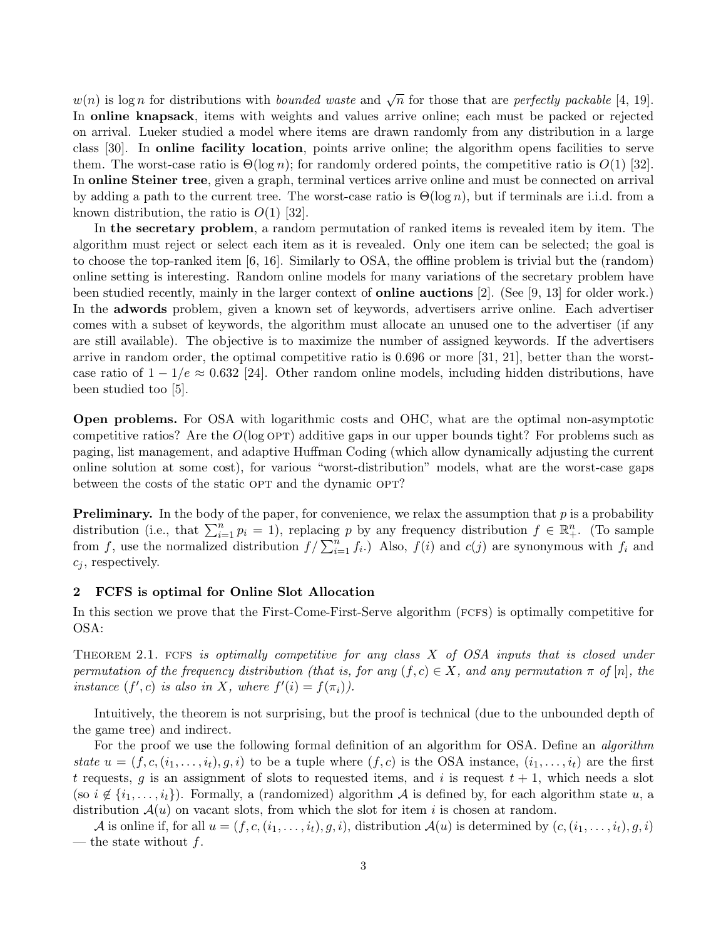$w(n)$  is log n for distributions with bounded waste and  $\sqrt{n}$  for those that are perfectly packable [\[4,](#page-13-2) [19\]](#page-14-12). In online knapsack, items with weights and values arrive online; each must be packed or rejected on arrival. Lueker studied a model where items are drawn randomly from any distribution in a large class [\[30\]](#page-14-13). In online facility location, points arrive online; the algorithm opens facilities to serve them. The worst-case ratio is  $\Theta(\log n)$ ; for randomly ordered points, the competitive ratio is  $O(1)$  [\[32\]](#page-14-14). In online Steiner tree, given a graph, terminal vertices arrive online and must be connected on arrival by adding a path to the current tree. The worst-case ratio is  $\Theta(\log n)$ , but if terminals are i.i.d. from a known distribution, the ratio is  $O(1)$  [\[32\]](#page-14-14).

In the secretary problem, a random permutation of ranked items is revealed item by item. The algorithm must reject or select each item as it is revealed. Only one item can be selected; the goal is to choose the top-ranked item [\[6,](#page-13-3) [16\]](#page-14-15). Similarly to OSA, the offline problem is trivial but the (random) online setting is interesting. Random online models for many variations of the secretary problem have been studied recently, mainly in the larger context of online auctions [\[2\]](#page-13-4). (See [\[9,](#page-14-16) [13\]](#page-14-17) for older work.) In the adwords problem, given a known set of keywords, advertisers arrive online. Each advertiser comes with a subset of keywords, the algorithm must allocate an unused one to the advertiser (if any are still available). The objective is to maximize the number of assigned keywords. If the advertisers arrive in random order, the optimal competitive ratio is 0.696 or more [\[31,](#page-14-18) [21\]](#page-14-19), better than the worstcase ratio of  $1 - 1/e \approx 0.632$  [\[24\]](#page-14-20). Other random online models, including hidden distributions, have been studied too [\[5\]](#page-13-5).

Open problems. For OSA with logarithmic costs and OHC, what are the optimal non-asymptotic competitive ratios? Are the  $O(\log \text{OPT})$  additive gaps in our upper bounds tight? For problems such as paging, list management, and adaptive Huffman Coding (which allow dynamically adjusting the current online solution at some cost), for various "worst-distribution" models, what are the worst-case gaps between the costs of the static OPT and the dynamic OPT?

**Preliminary.** In the body of the paper, for convenience, we relax the assumption that  $p$  is a probability distribution (i.e., that  $\sum_{i=1}^{n} p_i = 1$ ), replacing p by any frequency distribution  $f \in \mathbb{R}^n_+$ . (To sample from f, use the normalized distribution  $f / \sum_{i=1}^{n} f_i$ .) Also,  $f(i)$  and  $c(j)$  are synonymous with  $f_i$  and  $c_i$ , respectively.

# <span id="page-2-0"></span>2 FCFS is optimal for Online Slot Allocation

In this section we prove that the First-Come-First-Serve algorithm (FCFS) is optimally competitive for OSA:

THEOREM 2.1. FCFS is optimally competitive for any class  $X$  of OSA inputs that is closed under permutation of the frequency distribution (that is, for any  $(f, c) \in X$ , and any permutation  $\pi$  of  $[n]$ , the instance  $(f', c)$  is also in X, where  $f'(i) = f(\pi_i)$ .

Intuitively, the theorem is not surprising, but the proof is technical (due to the unbounded depth of the game tree) and indirect.

For the proof we use the following formal definition of an algorithm for OSA. Define an *algorithm* state  $u = (f, c, (i_1, \ldots, i_t), g, i)$  to be a tuple where  $(f, c)$  is the OSA instance,  $(i_1, \ldots, i_t)$  are the first t requests, g is an assignment of slots to requested items, and i is request  $t + 1$ , which needs a slot (so  $i \notin \{i_1,\ldots,i_t\}$ ). Formally, a (randomized) algorithm A is defined by, for each algorithm state u, a distribution  $\mathcal{A}(u)$  on vacant slots, from which the slot for item i is chosen at random.

A is online if, for all  $u = (f, c, (i_1, \ldots, i_t), g, i)$ , distribution  $\mathcal{A}(u)$  is determined by  $(c, (i_1, \ldots, i_t), g, i)$ — the state without  $f$ .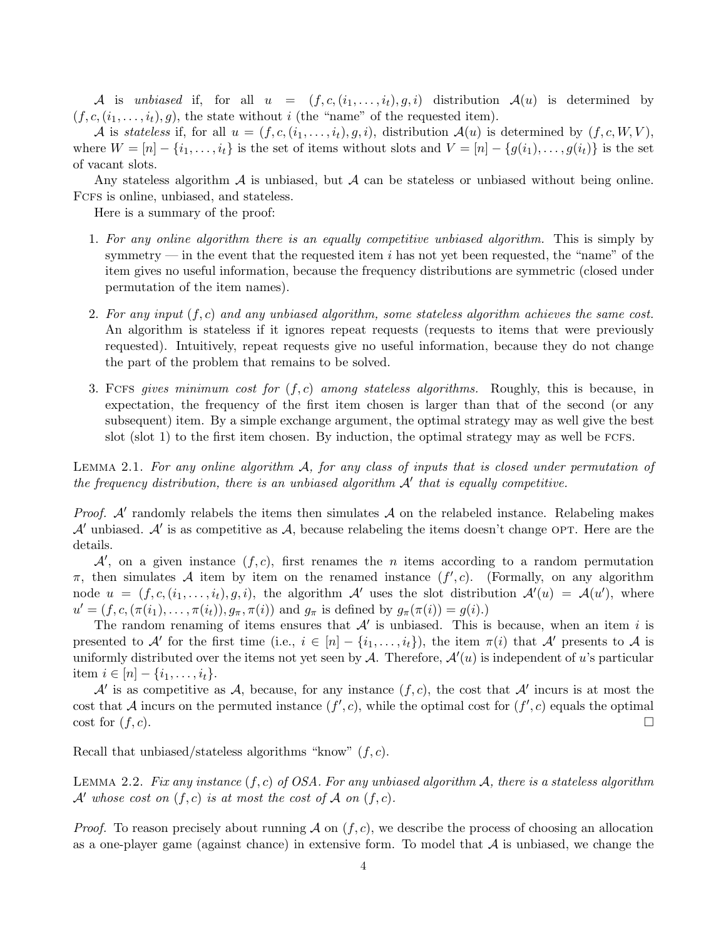A is unbiased if, for all  $u = (f, c, (i_1, \ldots, i_t), g, i)$  distribution  $\mathcal{A}(u)$  is determined by  $(f, c, (i_1, \ldots, i_t), g)$ , the state without i (the "name" of the requested item).

A is stateless if, for all  $u = (f, c, (i_1, \ldots, i_t), g, i)$ , distribution  $\mathcal{A}(u)$  is determined by  $(f, c, W, V)$ , where  $W = [n] - \{i_1, \ldots, i_t\}$  is the set of items without slots and  $V = [n] - \{g(i_1), \ldots, g(i_t)\}\$ is the set of vacant slots.

Any stateless algorithm  $\mathcal A$  is unbiased, but  $\mathcal A$  can be stateless or unbiased without being online. Fcfs is online, unbiased, and stateless.

Here is a summary of the proof:

- 1. For any online algorithm there is an equally competitive unbiased algorithm. This is simply by symmetry — in the event that the requested item  $i$  has not yet been requested, the "name" of the item gives no useful information, because the frequency distributions are symmetric (closed under permutation of the item names).
- 2. For any input  $(f, c)$  and any unbiased algorithm, some stateless algorithm achieves the same cost. An algorithm is stateless if it ignores repeat requests (requests to items that were previously requested). Intuitively, repeat requests give no useful information, because they do not change the part of the problem that remains to be solved.
- 3. FCFS gives minimum cost for  $(f, c)$  among stateless algorithms. Roughly, this is because, in expectation, the frequency of the first item chosen is larger than that of the second (or any subsequent) item. By a simple exchange argument, the optimal strategy may as well give the best slot  $(\text{slot } 1)$  to the first item chosen. By induction, the optimal strategy may as well be FCFS.

LEMMA 2.1. For any online algorithm  $A$ , for any class of inputs that is closed under permutation of the frequency distribution, there is an unbiased algorithm  $A'$  that is equally competitive.

*Proof.*  $A'$  randomly relabels the items then simulates  $A$  on the relabeled instance. Relabeling makes  $\mathcal{A}'$  unbiased.  $\mathcal{A}'$  is as competitive as  $\mathcal{A}$ , because relabeling the items doesn't change OPT. Here are the details.

 $\mathcal{A}'$ , on a given instance  $(f, c)$ , first renames the *n* items according to a random permutation  $\pi$ , then simulates A item by item on the renamed instance  $(f', c)$ . (Formally, on any algorithm node  $u = (f, c, (i_1, \ldots, i_t), g, i)$ , the algorithm  $\mathcal{A}'$  uses the slot distribution  $\mathcal{A}'(u) = \mathcal{A}(u')$ , where  $u' = (f, c, (\pi(i_1), \ldots, \pi(i_t)), g_\pi, \pi(i))$  and  $g_\pi$  is defined by  $g_\pi(\pi(i)) = g(i)$ .

The random renaming of items ensures that  $A'$  is unbiased. This is because, when an item i is presented to A' for the first time (i.e.,  $i \in [n] - \{i_1, \ldots, i_t\}$ ), the item  $\pi(i)$  that A' presents to A is uniformly distributed over the items not yet seen by  $A$ . Therefore,  $A'(u)$  is independent of u's particular item  $i \in [n] - \{i_1, \ldots, i_t\}.$ 

A' is as competitive as A, because, for any instance  $(f, c)$ , the cost that A' incurs is at most the cost that A incurs on the permuted instance  $(f', c)$ , while the optimal cost for  $(f', c)$  equals the optimal cost for  $(f, c)$ .

Recall that unbiased/stateless algorithms "know"  $(f, c)$ .

LEMMA 2.2. Fix any instance  $(f, c)$  of OSA. For any unbiased algorithm A, there is a stateless algorithm A' whose cost on  $(f, c)$  is at most the cost of A on  $(f, c)$ .

*Proof.* To reason precisely about running  $\mathcal A$  on  $(f, c)$ , we describe the process of choosing an allocation as a one-player game (against chance) in extensive form. To model that  $A$  is unbiased, we change the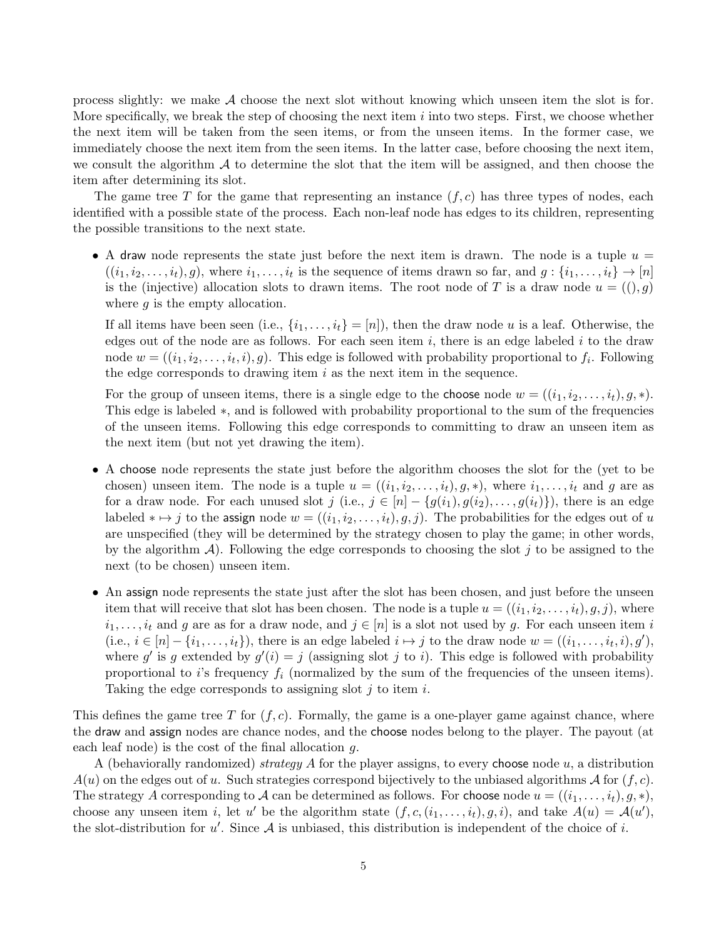process slightly: we make A choose the next slot without knowing which unseen item the slot is for. More specifically, we break the step of choosing the next item  $i$  into two steps. First, we choose whether the next item will be taken from the seen items, or from the unseen items. In the former case, we immediately choose the next item from the seen items. In the latter case, before choosing the next item, we consult the algorithm  $\mathcal A$  to determine the slot that the item will be assigned, and then choose the item after determining its slot.

The game tree T for the game that representing an instance  $(f, c)$  has three types of nodes, each identified with a possible state of the process. Each non-leaf node has edges to its children, representing the possible transitions to the next state.

• A draw node represents the state just before the next item is drawn. The node is a tuple  $u =$  $((i_1, i_2, \ldots, i_t), g)$ , where  $i_1, \ldots, i_t$  is the sequence of items drawn so far, and  $g : \{i_1, \ldots, i_t\} \to [n]$ is the (injective) allocation slots to drawn items. The root node of T is a draw node  $u = ((), g)$ where  $g$  is the empty allocation.

If all items have been seen (i.e.,  $\{i_1,\ldots,i_t\} = [n]$ ), then the draw node u is a leaf. Otherwise, the edges out of the node are as follows. For each seen item  $i$ , there is an edge labeled  $i$  to the draw node  $w = ((i_1, i_2, \ldots, i_t, i), g)$ . This edge is followed with probability proportional to  $f_i$ . Following the edge corresponds to drawing item  $i$  as the next item in the sequence.

For the group of unseen items, there is a single edge to the choose node  $w = ((i_1, i_2, \ldots, i_t), g, *)$ . This edge is labeled ∗, and is followed with probability proportional to the sum of the frequencies of the unseen items. Following this edge corresponds to committing to draw an unseen item as the next item (but not yet drawing the item).

- A choose node represents the state just before the algorithm chooses the slot for the (yet to be chosen) unseen item. The node is a tuple  $u = ((i_1, i_2, \ldots, i_t), g, *)$ , where  $i_1, \ldots, i_t$  and g are as for a draw node. For each unused slot j (i.e.,  $j \in [n] - \{g(i_1), g(i_2), \ldots, g(i_t)\}\)$ , there is an edge labeled  $* \mapsto j$  to the assign node  $w = ((i_1, i_2, \ldots, i_t), g, j)$ . The probabilities for the edges out of u are unspecified (they will be determined by the strategy chosen to play the game; in other words, by the algorithm  $\mathcal{A}$ ). Following the edge corresponds to choosing the slot j to be assigned to the next (to be chosen) unseen item.
- An assign node represents the state just after the slot has been chosen, and just before the unseen item that will receive that slot has been chosen. The node is a tuple  $u = ((i_1, i_2, \ldots, i_t), g, j)$ , where  $i_1,\ldots,i_t$  and g are as for a draw node, and  $j\in[n]$  is a slot not used by g. For each unseen item i (i.e.,  $i \in [n] - \{i_1, \ldots, i_t\}$ ), there is an edge labeled  $i \mapsto j$  to the draw node  $w = ((i_1, \ldots, i_t, i), g')$ , where g' is g extended by  $g'(i) = j$  (assigning slot j to i). This edge is followed with probability proportional to i's frequency  $f_i$  (normalized by the sum of the frequencies of the unseen items). Taking the edge corresponds to assigning slot  $j$  to item  $i$ .

This defines the game tree T for  $(f, c)$ . Formally, the game is a one-player game against chance, where the draw and assign nodes are chance nodes, and the choose nodes belong to the player. The payout (at each leaf node) is the cost of the final allocation  $q$ .

A (behaviorally randomized) strategy A for the player assigns, to every choose node  $u$ , a distribution  $A(u)$  on the edges out of u. Such strategies correspond bijectively to the unbiased algorithms A for  $(f, c)$ . The strategy A corresponding to A can be determined as follows. For choose node  $u = ((i_1, \ldots, i_t), g, *)$ , choose any unseen item *i*, let *u'* be the algorithm state  $(f, c, (i_1, \ldots, i_t), g, i)$ , and take  $A(u) = A(u')$ , the slot-distribution for  $u'$ . Since A is unbiased, this distribution is independent of the choice of i.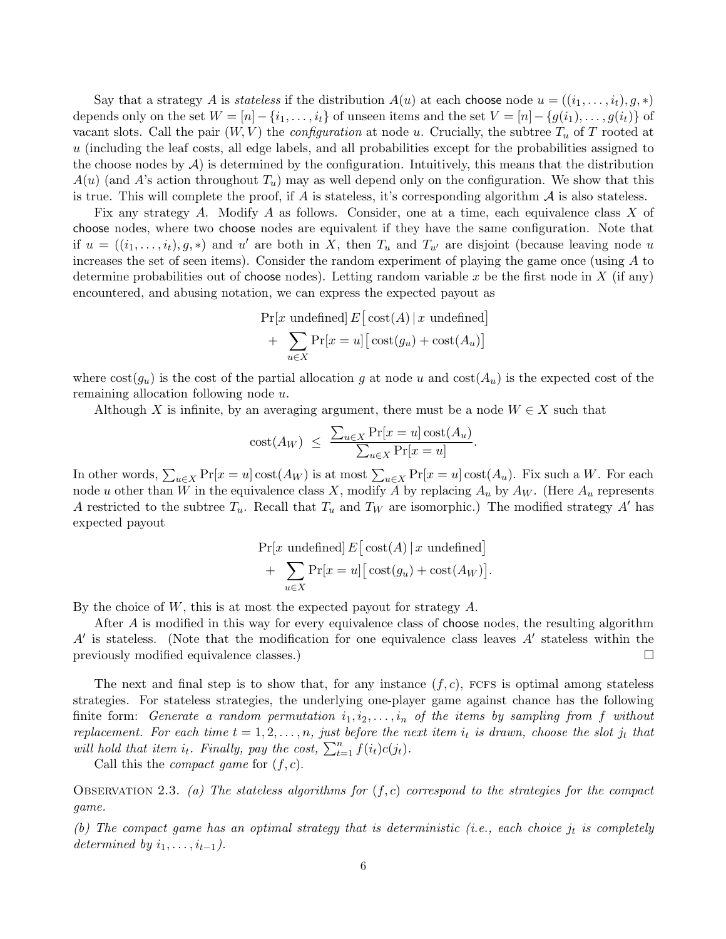Say that a strategy A is stateless if the distribution  $A(u)$  at each choose node  $u = ((i_1, \ldots, i_t), g, *)$ depends only on the set  $W = [n] - \{i_1, \ldots, i_t\}$  of unseen items and the set  $V = [n] - \{g(i_1), \ldots, g(i_t)\}$  of vacant slots. Call the pair  $(W, V)$  the *configuration* at node u. Crucially, the subtree  $T_u$  of T rooted at u (including the leaf costs, all edge labels, and all probabilities except for the probabilities assigned to the choose nodes by  $A$ ) is determined by the configuration. Intuitively, this means that the distribution  $A(u)$  (and A's action throughout  $T_u$ ) may as well depend only on the configuration. We show that this is true. This will complete the proof, if A is stateless, it's corresponding algorithm  $\mathcal A$  is also stateless.

Fix any strategy A. Modify A as follows. Consider, one at a time, each equivalence class X of choose nodes, where two choose nodes are equivalent if they have the same configuration. Note that if  $u = ((i_1,\ldots,i_t), g,*)$  and u' are both in X, then  $T_u$  and  $T_{u'}$  are disjoint (because leaving node u increases the set of seen items). Consider the random experiment of playing the game once (using  $A$  to determine probabilities out of choose nodes). Letting random variable x be the first node in X (if any) encountered, and abusing notation, we can express the expected payout as

$$
\Pr[x \text{ undefined}] E [\text{cost}(A) | x \text{ undefined}]
$$

$$
+ \sum_{u \in X} \Pr[x = u] [\text{cost}(g_u) + \text{cost}(A_u)]
$$

where  $\text{cost}(g_u)$  is the cost of the partial allocation g at node u and  $\text{cost}(A_u)$  is the expected cost of the remaining allocation following node u.

Although X is infinite, by an averaging argument, there must be a node  $W \in X$  such that

$$
cost(A_W) \leq \frac{\sum_{u \in X} Pr[x = u] cost(A_u)}{\sum_{u \in X} Pr[x = u]}.
$$

In other words,  $\sum_{u\in X} \Pr[x=u] \text{cost}(A_W)$  is at most  $\sum_{u\in X} \Pr[x=u] \text{cost}(A_u)$ . Fix such a W. For each node u other than W in the equivalence class X, modify A by replacing  $A_u$  by  $A_w$ . (Here  $A_u$  represents A restricted to the subtree  $T_u$ . Recall that  $T_u$  and  $T_w$  are isomorphic.) The modified strategy A' has expected payout

$$
\Pr[x \text{ undefined}] E [\text{cost}(A) | x \text{ undefined}] + \sum_{u \in X} \Pr[x = u] [\text{cost}(g_u) + \text{cost}(A_W)].
$$

By the choice of  $W$ , this is at most the expected payout for strategy  $A$ .

After A is modified in this way for every equivalence class of choose nodes, the resulting algorithm  $A'$  is stateless. (Note that the modification for one equivalence class leaves  $A'$  stateless within the previously modified equivalence classes.)  $\Box$ 

The next and final step is to show that, for any instance  $(f, c)$ , FCFS is optimal among stateless strategies. For stateless strategies, the underlying one-player game against chance has the following finite form: Generate a random permutation  $i_1, i_2, \ldots, i_n$  of the items by sampling from f without replacement. For each time  $t = 1, 2, ..., n$ , just before the next item  $i_t$  is drawn, choose the slot  $j_t$  that will hold that item  $i_t$ . Finally, pay the cost,  $\sum_{t=1}^n f(i_t)c(j_t)$ .

Call this the *compact game* for  $(f, c)$ .

OBSERVATION 2.3. (a) The stateless algorithms for  $(f, c)$  correspond to the strategies for the compact game.

(b) The compact game has an optimal strategy that is deterministic (i.e., each choice  $j_t$  is completely determined by  $i_1, \ldots, i_{t-1}$ ).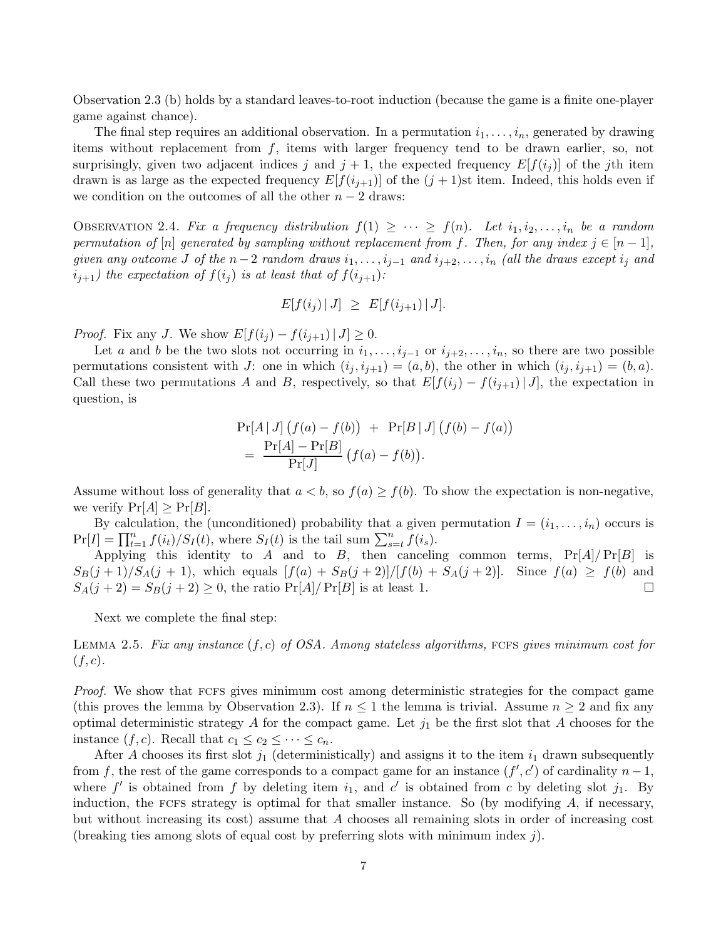Observation [2.3](#page-9-0) (b) holds by a standard leaves-to-root induction (because the game is a finite one-player game against chance).

The final step requires an additional observation. In a permutation  $i_1,\ldots,i_n$ , generated by drawing items without replacement from f, items with larger frequency tend to be drawn earlier, so, not surprisingly, given two adjacent indices j and  $j + 1$ , the expected frequency  $E[f(i_j)]$  of the jth item drawn is as large as the expected frequency  $E[f(i_{j+1})]$  of the  $(j + 1)$ st item. Indeed, this holds even if we condition on the outcomes of all the other  $n-2$  draws:

OBSERVATION 2.4. Fix a frequency distribution  $f(1) \geq \cdots \geq f(n)$ . Let  $i_1, i_2, \ldots, i_n$  be a random permutation of [n] generated by sampling without replacement from f. Then, for any index  $j \in [n-1]$ , given any outcome J of the  $n-2$  random draws  $i_1,\ldots,i_{j-1}$  and  $i_{j+2},\ldots,i_n$  (all the draws except  $i_j$  and  $i_{j+1}$ ) the expectation of  $f(i_j)$  is at least that of  $f(i_{j+1})$ :

$$
E[f(i_j) | J] \ge E[f(i_{j+1}) | J].
$$

*Proof.* Fix any J. We show  $E[f(i_j) - f(i_{j+1}) | J] \geq 0$ .

Let a and b be the two slots not occurring in  $i_1,\ldots,i_{j-1}$  or  $i_{j+2},\ldots,i_n$ , so there are two possible permutations consistent with J: one in which  $(i_j, i_{j+1})=(a, b)$ , the other in which  $(i_j, i_{j+1})=(b, a)$ . Call these two permutations A and B, respectively, so that  $E[f(i_j) - f(i_{j+1}) | J]$ , the expectation in question, is

$$
Pr[A | J] (f(a) - f(b)) + Pr[B | J] (f(b) - f(a))
$$
  
= 
$$
\frac{Pr[A] - Pr[B]}{Pr[J]} (f(a) - f(b)).
$$

Assume without loss of generality that  $a < b$ , so  $f(a) \geq f(b)$ . To show the expectation is non-negative, we verify  $Pr[A] \geq Pr[B]$ .

By calculation, the (unconditioned) probability that a given permutation  $I = (i_1, \ldots, i_n)$  occurs is  $\Pr[I] = \prod_{t=1}^{n} f(i_t)/S_I(t)$ , where  $S_I(t)$  is the tail sum  $\sum_{s=t}^{n} f(i_s)$ .

Applying this identity to A and to B, then canceling common terms,  $Pr[A]/Pr[B]$  is  $S_B(j + 1)/S_A(j + 1)$ , which equals  $[f(a) + S_B(j + 2)]/[f(b) + S_A(j + 2)]$ . Since  $f(a) \ge f(b)$  and  $S_A(i + 2) = S_B(i + 2) > 0$  the ratio  $Pr[A]/Pr[B]$  is at least 1  $S_A(j+2) = S_B(j+2) \geq 0$ , the ratio  $\Pr[A]/\Pr[B]$  is at least 1.

Next we complete the final step:

LEMMA 2.5. Fix any instance  $(f, c)$  of OSA. Among stateless algorithms, FCFS gives minimum cost for  $(f,c).$ 

Proof. We show that FCFS gives minimum cost among deterministic strategies for the compact game (this proves the lemma by Observation [2.3\)](#page-9-0). If  $n \leq 1$  the lemma is trivial. Assume  $n \geq 2$  and fix any optimal deterministic strategy A for the compact game. Let  $j_1$  be the first slot that A chooses for the instance  $(f, c)$ . Recall that  $c_1 \leq c_2 \leq \cdots \leq c_n$ .

After A chooses its first slot  $j_1$  (deterministically) and assigns it to the item  $i_1$  drawn subsequently from f, the rest of the game corresponds to a compact game for an instance  $(f', c')$  of cardinality  $n - 1$ , where f' is obtained from f by deleting item  $i_1$ , and c' is obtained from c by deleting slot  $j_1$ . By induction, the FCFs strategy is optimal for that smaller instance. So (by modifying  $A$ , if necessary, but without increasing its cost) assume that A chooses all remaining slots in order of increasing cost (breaking ties among slots of equal cost by preferring slots with minimum index j).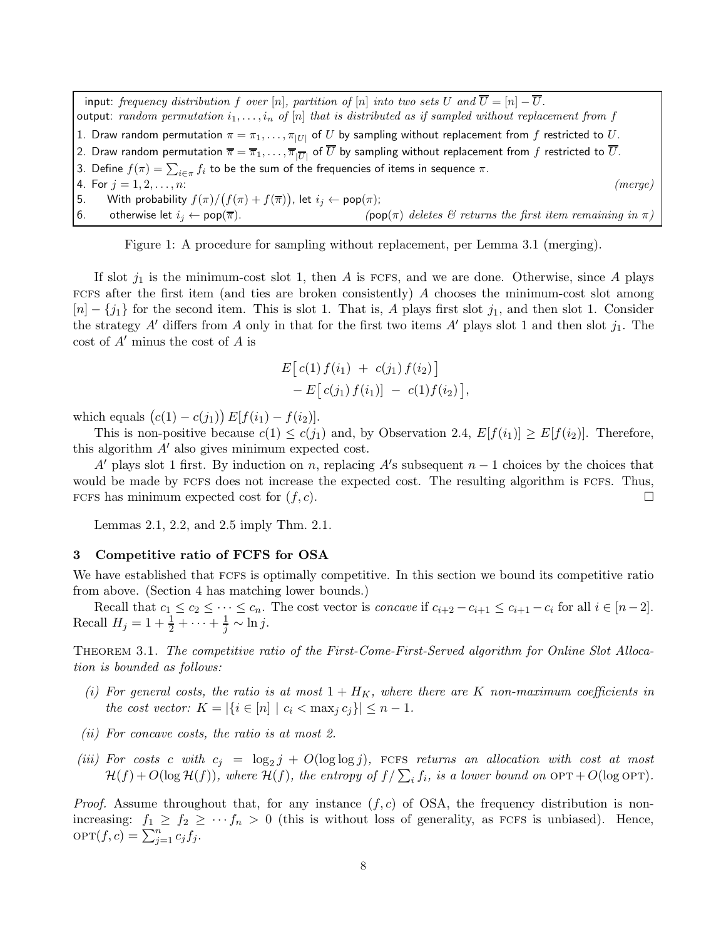input: frequency distribution f over [n], partition of [n] into two sets U and  $\overline{U} = [n] - \overline{U}$ . output: random permutation  $i_1,\ldots,i_n$  of  $[n]$  that is distributed as if sampled without replacement from f 1. Draw random permutation  $\pi = \pi_1, \ldots, \pi_{|U|}$  of  $U$  by sampling without replacement from  $f$  restricted to  $U.$ 2. Draw random permutation  $\overline{\pi} = \overline{\pi}_1,\ldots,\overline{\pi}_{|\overline{U}|}$  of  $\overline{U}$  by sampling without replacement from  $f$  restricted to  $\overline{U}$ . 3. Define  $f(\pi) = \sum_{i \in \pi} f_i$  to be the sum of the frequencies of items in sequence  $\pi.$ 4. For  $j = 1, 2, ..., n$ : (merge) 5. With probability  $f(\pi) / (f(\pi) + f(\overline{\pi}))$ , let  $i_j \leftarrow \text{pop}(\pi)$ ; 6. otherwise let  $i_j \leftarrow \text{pop}(\overline{\pi})$ . (pop( $\pi$ ) deletes  $\mathcal{C}$  returns the first item remaining in  $\pi$ 

<span id="page-7-0"></span>Figure 1: A procedure for sampling without replacement, per Lemma [3.1](#page-12-1) (merging).

If slot  $j_1$  is the minimum-cost slot 1, then A is FCFS, and we are done. Otherwise, since A plays FCFS after the first item (and ties are broken consistently)  $\tilde{A}$  chooses the minimum-cost slot among  $[n] - \{j_1\}$  for the second item. This is slot 1. That is, A plays first slot  $j_1$ , and then slot 1. Consider the strategy A' differs from A only in that for the first two items A' plays slot 1 and then slot  $j_1$ . The cost of  $A'$  minus the cost of  $A$  is

$$
E[c(1) f(i_1) + c(j_1) f(i_2)] - E[c(j_1) f(i_1)] - c(1) f(i_2)],
$$

which equals  $(c(1) - c(j_1)) E[f(i_1) - f(i_2)].$ 

This is non-positive because  $c(1) \leq c(j_1)$  and, by Observation [2.4,](#page-9-1)  $E[f(i_1)] \geq E[f(i_2)]$ . Therefore, this algorithm  $A'$  also gives minimum expected cost.

A' plays slot 1 first. By induction on n, replacing A's subsequent  $n-1$  choices by the choices that would be made by FCFS does not increase the expected cost. The resulting algorithm is FCFS. Thus, FCFS has minimum expected cost for  $(f, c)$ .

Lemmas [2.1,](#page-12-1) [2.2,](#page-13-6) and [2.5](#page-11-1) imply Thm. [2.1.](#page-12-0)

## 3 Competitive ratio of FCFS for OSA

We have established that FCFS is optimally competitive. In this section we bound its competitive ratio from above. (Section [4](#page-11-0) has matching lower bounds.)

Recall that  $c_1 \leq c_2 \leq \cdots \leq c_n$ . The cost vector is *concave* if  $c_{i+2} - c_{i+1} \leq c_{i+1} - c_i$  for all  $i \in [n-2]$ . Recall  $H_j = 1 + \frac{1}{2} + \cdots + \frac{1}{j} \sim \ln j$ .

Theorem 3.1. The competitive ratio of the First-Come-First-Served algorithm for Online Slot Allocation is bounded as follows:

- (i) For general costs, the ratio is at most  $1 + H_K$ , where there are K non-maximum coefficients in the cost vector:  $K = |\{i \in [n] \mid c_i < \max_j c_j\}| \leq n - 1$ .
- (ii) For concave costs, the ratio is at most 2.
- (iii) For costs c with  $c_j = \log_2 j + O(\log \log j)$ , FCFS returns an allocation with cost at most  $\mathcal{H}(f) + O(\log \mathcal{H}(f))$ , where  $\mathcal{H}(f)$ , the entropy of  $f/\sum_i f_i$ , is a lower bound on  $\text{OPT} + O(\log \text{OPT})$ .

*Proof.* Assume throughout that, for any instance  $(f, c)$  of OSA, the frequency distribution is nonincreasing:  $f_1 \ge f_2 \ge \cdots f_n > 0$  (this is without loss of generality, as FCFS is unbiased). Hence,  $OPT(f, c) = \sum_{j=1}^{n} c_j f_j.$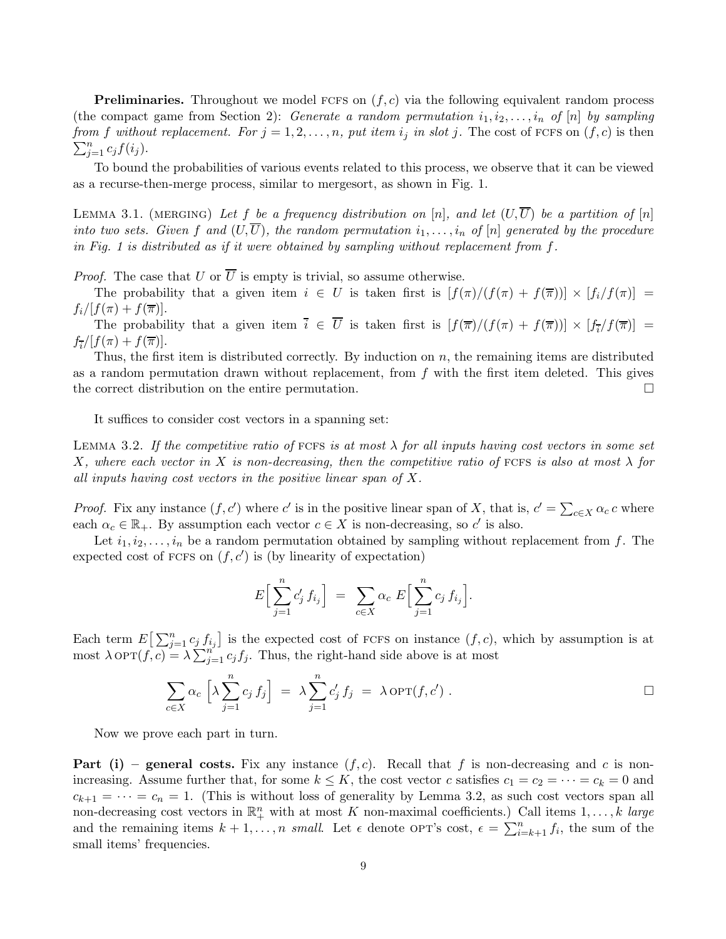**Preliminaries.** Throughout we model FCFS on  $(f, c)$  via the following equivalent random process (the compact game from Section [2\)](#page-2-0): Generate a random permutation  $i_1, i_2, \ldots, i_n$  of  $[n]$  by sampling  $\sum_{j=1}^n c_j f(i_j)$ . from f without replacement. For  $j = 1, 2, ..., n$ , put item  $i_j$  in slot j. The cost of FCFS on  $(f, c)$  is then

To bound the probabilities of various events related to this process, we observe that it can be viewed as a recurse-then-merge process, similar to mergesort, as shown in Fig. [1.](#page-7-0)

LEMMA 3.1. (MERGING) Let f be a frequency distribution on [n], and let  $(U,\overline{U})$  be a partition of [n] into two sets. Given f and  $(U,\overline{U})$ , the random permutation  $i_1,\ldots,i_n$  of  $[n]$  generated by the procedure in Fig. [1](#page-7-0) is distributed as if it were obtained by sampling without replacement from  $f$ .

*Proof.* The case that U or  $\overline{U}$  is empty is trivial, so assume otherwise.

The probability that a given item  $i \in U$  is taken first is  $[f(\pi)/(f(\pi) + f(\overline{\pi}))] \times [f_i/f(\pi)] =$  $f_i/[f(\pi) + f(\overline{\pi})].$ 

The probability that a given item  $\overline{i} \in \overline{U}$  is taken first is  $[f(\overline{\pi})/(f(\pi) + f(\overline{\pi}))] \times [f_{\overline{i}}/f(\overline{\pi})] =$  $f_{\overline{i}}/[f(\pi) + f(\overline{\pi})].$ 

Thus, the first item is distributed correctly. By induction on  $n$ , the remaining items are distributed as a random permutation drawn without replacement, from  $f$  with the first item deleted. This gives the correct distribution on the entire permutation.  $\Box$ 

It suffices to consider cost vectors in a spanning set:

LEMMA 3.2. If the competitive ratio of FCFS is at most  $\lambda$  for all inputs having cost vectors in some set X, where each vector in X is non-decreasing, then the competitive ratio of FCFS is also at most  $\lambda$  for all inputs having cost vectors in the positive linear span of X.

*Proof.* Fix any instance  $(f, c')$  where c' is in the positive linear span of X, that is,  $c' = \sum_{c \in X} \alpha_c c$  where each  $\alpha_c \in \mathbb{R}_+$ . By assumption each vector  $c \in X$  is non-decreasing, so c' is also.

Let  $i_1, i_2, \ldots, i_n$  be a random permutation obtained by sampling without replacement from f. The expected cost of FCFS on  $(f, c')$  is (by linearity of expectation)

$$
E\Big[\sum_{j=1}^n c'_j f_{i_j}\Big] = \sum_{c \in X} \alpha_c \ E\Big[\sum_{j=1}^n c_j f_{i_j}\Big].
$$

Each term  $E\left[\sum_{j=1}^n c_j f_{i_j}\right]$  is the expected cost of FCFS on instance  $(f, c)$ , which by assumption is at most  $\lambda$  OPT $(f, c) = \lambda \sum_{j=1}^{n^3} c_j f_j$ . Thus, the right-hand side above is at most

$$
\sum_{c \in X} \alpha_c \left[ \lambda \sum_{j=1}^n c_j f_j \right] \; = \; \lambda \sum_{j=1}^n c'_j f_j \; = \; \lambda \operatorname{OPT}(f, c') \; . \qquad \Box
$$

Now we prove each part in turn.

**Part (i)** – general costs. Fix any instance  $(f, c)$ . Recall that f is non-decreasing and c is nonincreasing. Assume further that, for some  $k \leq K$ , the cost vector c satisfies  $c_1 = c_2 = \cdots = c_k = 0$  and  $c_{k+1} = \cdots = c_n = 1$ . (This is without loss of generality by Lemma [3.2,](#page-13-6) as such cost vectors span all non-decreasing cost vectors in  $\mathbb{R}^n_+$  with at most K non-maximal coefficients.) Call items  $1,\ldots,k$  large and the remaining items  $k+1,\ldots,n$  small. Let  $\epsilon$  denote OPT's cost,  $\epsilon = \sum_{i=k+1}^{n} f_i$ , the sum of the small items' frequencies.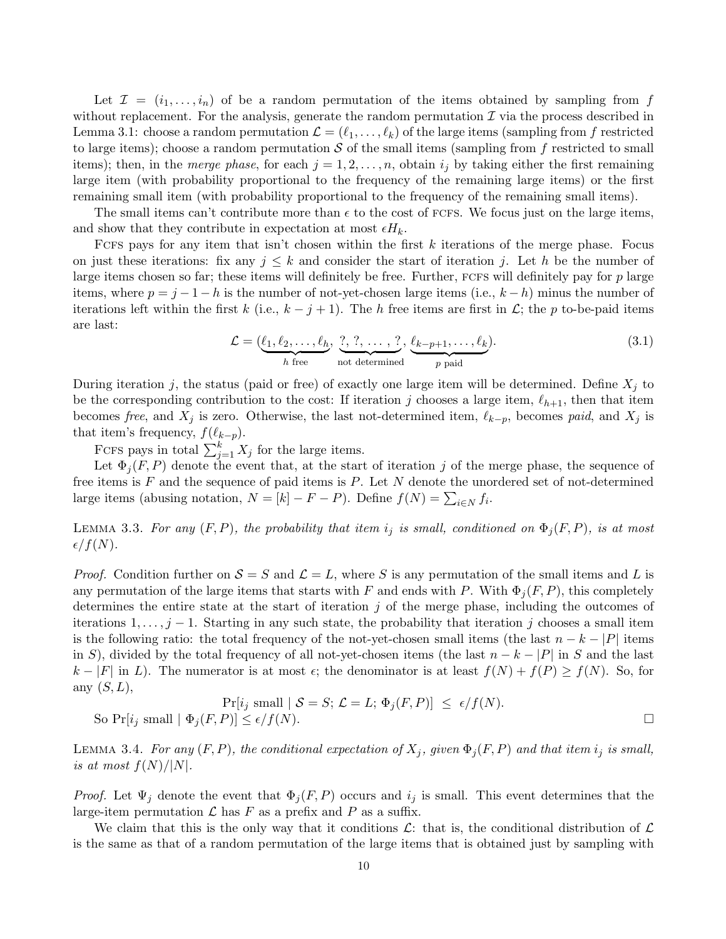Let  $\mathcal{I} = (i_1, \ldots, i_n)$  of be a random permutation of the items obtained by sampling from f without replacement. For the analysis, generate the random permutation  $\mathcal I$  via the process described in Lemma [3.1:](#page-12-1) choose a random permutation  $\mathcal{L} = (\ell_1, \ldots, \ell_k)$  of the large items (sampling from f restricted to large items); choose a random permutation  $S$  of the small items (sampling from f restricted to small items); then, in the merge phase, for each  $j = 1, 2, \ldots, n$ , obtain  $i_j$  by taking either the first remaining large item (with probability proportional to the frequency of the remaining large items) or the first remaining small item (with probability proportional to the frequency of the remaining small items).

The small items can't contribute more than  $\epsilon$  to the cost of FCFS. We focus just on the large items, and show that they contribute in expectation at most  $\epsilon H_k$ .

FCFS pays for any item that isn't chosen within the first  $k$  iterations of the merge phase. Focus on just these iterations: fix any  $j \leq k$  and consider the start of iteration j. Let h be the number of large items chosen so far; these items will definitely be free. Further,  $FCFS$  will definitely pay for p large items, where  $p = j - 1 - h$  is the number of not-yet-chosen large items (i.e.,  $k - h$ ) minus the number of iterations left within the first k (i.e.,  $k - j + 1$ ). The h free items are first in L; the p to-be-paid items are last:

$$
\mathcal{L} = (\underbrace{\ell_1, \ell_2, \dots, \ell_h}_{h \text{ free}}, \underbrace{?, ?, \dots, ?}_{\text{not determined}}, \underbrace{\ell_{k-p+1}, \dots, \ell_k}_{p \text{ paid}}). \tag{3.1}
$$

During iteration j, the status (paid or free) of exactly one large item will be determined. Define  $X_j$  to be the corresponding contribution to the cost: If iteration j chooses a large item,  $\ell_{h+1}$ , then that item becomes free, and  $X_j$  is zero. Otherwise, the last not-determined item,  $\ell_{k-p}$ , becomes paid, and  $X_j$  is that item's frequency,  $f(\ell_{k-p})$ .

FCFS pays in total  $\sum_{j=1}^{k} X_j$  for the large items.

Let  $\Phi_i(F, P)$  denote the event that, at the start of iteration j of the merge phase, the sequence of free items is  $F$  and the sequence of paid items is  $P$ . Let  $N$  denote the unordered set of not-determined large items (abusing notation,  $N = [k] - F - P$ ). Define  $f(N) = \sum_{i \in N} f_i$ .

<span id="page-9-0"></span>LEMMA 3.3. For any  $(F, P)$ , the probability that item  $i_j$  is small, conditioned on  $\Phi_j(F, P)$ , is at most  $\epsilon/f(N).$ 

*Proof.* Condition further on  $S = S$  and  $\mathcal{L} = L$ , where S is any permutation of the small items and L is any permutation of the large items that starts with F and ends with P. With  $\Phi_i(F, P)$ , this completely determines the entire state at the start of iteration j of the merge phase, including the outcomes of iterations  $1, \ldots, j-1$ . Starting in any such state, the probability that iteration j chooses a small item is the following ratio: the total frequency of the not-yet-chosen small items (the last  $n - k - |P|$  items in S), divided by the total frequency of all not-yet-chosen items (the last  $n - k - |P|$  in S and the last  $k - |F|$  in L). The numerator is at most  $\epsilon$ ; the denominator is at least  $f(N) + f(P) \ge f(N)$ . So, for any  $(S, L)$ ,

$$
\Pr[i_j \text{ small } | S = S; \mathcal{L} = L; \Phi_j(F, P)] \le \epsilon / f(N).
$$
  
So 
$$
\Pr[i_j \text{ small } | \Phi_j(F, P)] \le \epsilon / f(N).
$$

<span id="page-9-1"></span>LEMMA 3.4. For any  $(F, P)$ , the conditional expectation of  $X_j$ , given  $\Phi_j(F, P)$  and that item  $i_j$  is small, is at most  $f(N)/|N|$ .

*Proof.* Let  $\Psi_j$  denote the event that  $\Phi_j(F, P)$  occurs and  $i_j$  is small. This event determines that the large-item permutation  $\mathcal L$  has F as a prefix and P as a suffix.

We claim that this is the only way that it conditions  $\mathcal{L}$ : that is, the conditional distribution of  $\mathcal{L}$ is the same as that of a random permutation of the large items that is obtained just by sampling with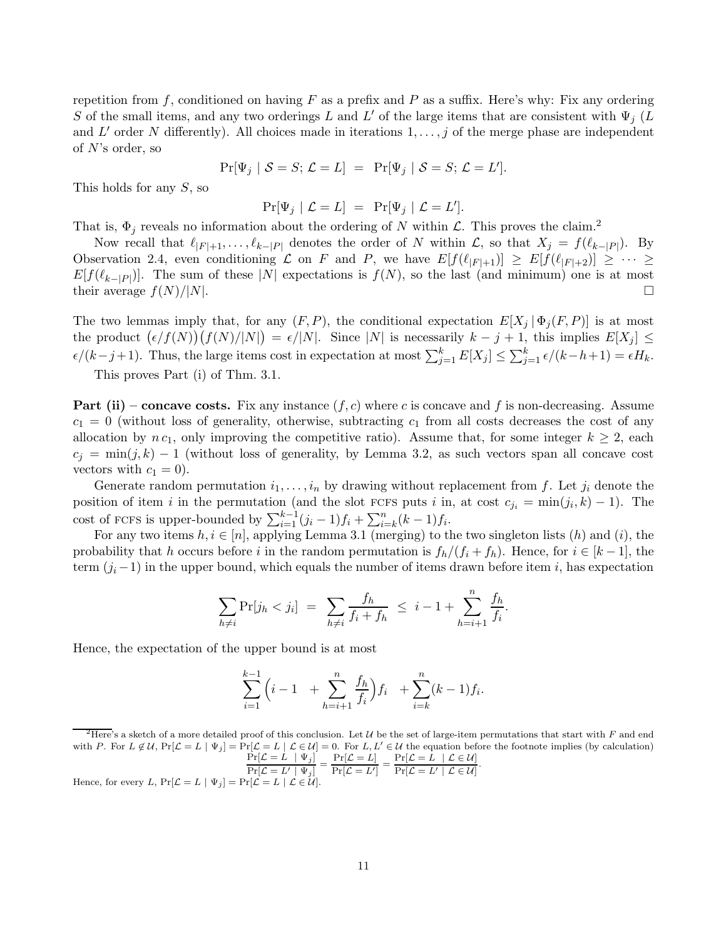repetition from f, conditioned on having F as a prefix and P as a suffix. Here's why: Fix any ordering S of the small items, and any two orderings L and L' of the large items that are consistent with  $\Psi_i$  (L and  $L'$  order N differently). All choices made in iterations  $1, \ldots, j$  of the merge phase are independent of  $N$ 's order, so

$$
Pr[\Psi_j | S = S; \mathcal{L} = L] = Pr[\Psi_j | S = S; \mathcal{L} = L'].
$$

This holds for any  $S$ , so

$$
\Pr[\Psi_j \mid \mathcal{L} = L] = \Pr[\Psi_j \mid \mathcal{L} = L'].
$$

That is,  $\Phi_j$  reveals no information about the ordering of N within  $\mathcal{L}$ . This proves the claim.<sup>[2](#page-10-0)</sup>

Now recall that  $\ell_{|F|+1},\ldots,\ell_{k-|P|}$  denotes the order of N within  $\mathcal{L}$ , so that  $X_j = f(\ell_{k-|P|})$ . By Observation [2.4,](#page-9-1) even conditioning  $\mathcal L$  on F and P, we have  $E[f(\ell_{|F|+1})] \geq E[f(\ell_{|F|+2})] \geq \cdots \geq$  $E[f(\ell_{k-|P|})]$ . The sum of these |N| expectations is  $f(N)$ , so the last (and minimum) one is at most their average  $f(N)/|N|$ .

The two lemmas imply that, for any  $(F, P)$ , the conditional expectation  $E[X_i | \Phi_i(F, P)]$  is at most the product  $(\epsilon/f(N))(f(N)/|N|) = \epsilon/|N|$ . Since |N| is necessarily  $k - j + 1$ , this implies  $E[X_j] \le$  $\epsilon/(k-j+1)$ . Thus, the large items cost in expectation at most  $\sum_{j=1}^{k} E[X_j] \leq \sum_{j=1}^{k} \epsilon/(k-h+1) = \epsilon H_k$ .

This proves Part (i) of Thm. [3.1.](#page-12-0)

**Part (ii) – concave costs.** Fix any instance  $(f, c)$  where c is concave and f is non-decreasing. Assume  $c_1 = 0$  (without loss of generality, otherwise, subtracting  $c_1$  from all costs decreases the cost of any allocation by  $n c_1$ , only improving the competitive ratio). Assume that, for some integer  $k \geq 2$ , each  $c_j = \min(j, k) - 1$  (without loss of generality, by Lemma [3.2,](#page-13-6) as such vectors span all concave cost vectors with  $c_1 = 0$ ).

Generate random permutation  $i_1,\ldots,i_n$  by drawing without replacement from f. Let  $j_i$  denote the position of item i in the permutation (and the slot FCFS puts i in, at cost  $c_{j_i} = \min(j_i, k) - 1$ ). The cost of FCFS is upper-bounded by  $\sum_{i=1}^{k-1} (j_i - 1) f_i + \sum_{i=k}^{n} (k-1) f_i$ .

For any two items  $h, i \in [n]$ , applying Lemma [3.1](#page-12-1) (merging) to the two singleton lists  $(h)$  and  $(i)$ , the probability that h occurs before i in the random permutation is  $f_h/(f_i + f_h)$ . Hence, for  $i \in [k-1]$ , the term  $(j_i-1)$  in the upper bound, which equals the number of items drawn before item i, has expectation

$$
\sum_{h \neq i} \Pr[j_h < j_i] \ = \ \sum_{h \neq i} \frac{f_h}{f_i + f_h} \ \leq \ i - 1 + \sum_{h=i+1}^n \frac{f_h}{f_i}.
$$

Hence, the expectation of the upper bound is at most

$$
\sum_{i=1}^{k-1} \left( i - 1 + \sum_{h=i+1}^n \frac{f_h}{f_i} \right) f_i + \sum_{i=k}^n (k-1) f_i.
$$

$$
\frac{\Pr[\mathcal{L} = L \mid \Psi_j]}{\Pr[\mathcal{L} = L' \mid \Psi_j]} = \frac{\Pr[\mathcal{L} = L]}{\Pr[\mathcal{L} = L']} = \frac{\Pr[\mathcal{L} = L \mid \mathcal{L} \in \mathcal{U}]}{\Pr[\mathcal{L} = L' \mid \mathcal{L} \in \mathcal{U}]}
$$

<span id="page-10-0"></span><sup>&</sup>lt;sup>2</sup>Here's a sketch of a more detailed proof of this conclusion. Let U be the set of large-item permutations that start with F and end with P. For  $L \notin \mathcal{U}$ ,  $Pr[\mathcal{L} = L | \Psi_j] = Pr[\mathcal{L} = L | \mathcal{L} \in \mathcal{U}] = 0$ . For  $L, L' \in \mathcal{U}$  the equation before the footnote implies (by calculation) .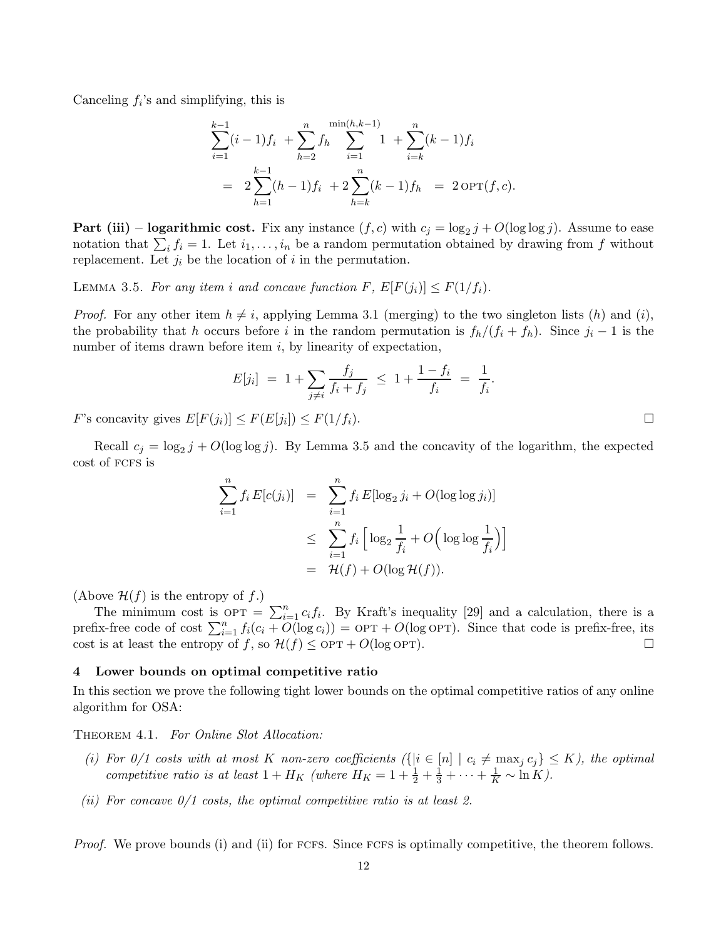Canceling  $f_i$ 's and simplifying, this is

$$
\sum_{i=1}^{k-1} (i-1)f_i + \sum_{h=2}^n f_h \sum_{i=1}^{\min(h,k-1)} 1 + \sum_{i=k}^n (k-1)f_i
$$
  
= 
$$
2 \sum_{h=1}^{k-1} (h-1)f_i + 2 \sum_{h=k}^n (k-1)f_h = 2 \text{OPT}(f, c).
$$

**Part (iii) – logarithmic cost.** Fix any instance  $(f, c)$  with  $c_j = \log_2 j + O(\log \log j)$ . Assume to ease notation that  $\sum_i f_i = 1$ . Let  $i_1, \ldots, i_n$  be a random permutation obtained by drawing from f without replacement. Let  $j_i$  be the location of i in the permutation.

<span id="page-11-1"></span>LEMMA 3.5. For any item i and concave function F,  $E[F(j_i)] \leq F(1/f_i)$ .

*Proof.* For any other item  $h \neq i$ , applying Lemma [3.1](#page-12-1) (merging) to the two singleton lists  $(h)$  and  $(i)$ , the probability that h occurs before i in the random permutation is  $f_h/(f_i + f_h)$ . Since  $j_i - 1$  is the number of items drawn before item  $i$ , by linearity of expectation,

$$
E[j_i] = 1 + \sum_{j \neq i} \frac{f_j}{f_i + f_j} \leq 1 + \frac{1 - f_i}{f_i} = \frac{1}{f_i}.
$$

F's concavity gives  $E[F(j_i)] \leq F(E[j_i]) \leq F(1/f_i)$ .

Recall  $c_j = \log_2 j + O(\log \log j)$ . By Lemma [3.5](#page-11-1) and the concavity of the logarithm, the expected cost of fcfs is

$$
\sum_{i=1}^{n} f_i E[c(j_i)] = \sum_{i=1}^{n} f_i E[\log_2 j_i + O(\log \log j_i)]
$$
  

$$
\leq \sum_{i=1}^{n} f_i \left[ \log_2 \frac{1}{f_i} + O\left(\log \log \frac{1}{f_i}\right) \right]
$$
  

$$
= \mathcal{H}(f) + O(\log \mathcal{H}(f)).
$$

(Above  $\mathcal{H}(f)$  is the entropy of f.)

The minimum cost is  $\text{OPT} = \sum_{i=1}^{n} c_i f_i$ . By Kraft's inequality [\[29\]](#page-14-21) and a calculation, there is a prefix-free code of cost  $\sum_{i=1}^{n} f_i(c_i + O(\log c_i)) = \text{OPT} + O(\log \text{OPT})$ . Since that code is prefix-free, its cost is at least the entropy of f, so  $\mathcal{H}(f) \leq \text{OPT} + O(\log \text{OPT})$ .

### <span id="page-11-0"></span>4 Lower bounds on optimal competitive ratio

In this section we prove the following tight lower bounds on the optimal competitive ratios of any online algorithm for OSA:

THEOREM 4.1. For Online Slot Allocation:

- (i) For  $0/1$  costs with at most K non-zero coefficients  $({i \in [n] | c_i \neq \max_j c_j} \leq K)$ , the optimal competitive ratio is at least  $1 + H_K$  (where  $H_K = 1 + \frac{1}{2} + \frac{1}{3} + \cdots + \frac{1}{K} \sim \ln K$ ).
- (ii) For concave  $0/1$  costs, the optimal competitive ratio is at least 2.

*Proof.* We prove bounds (i) and (ii) for FCFS. Since FCFS is optimally competitive, the theorem follows.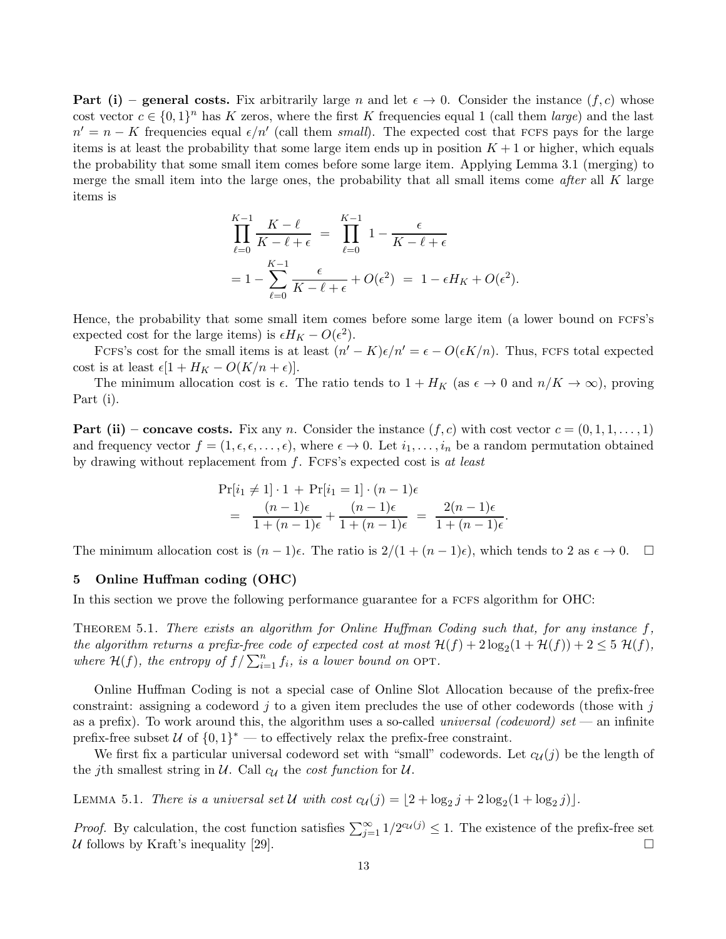**Part (i) – general costs.** Fix arbitrarily large n and let  $\epsilon \to 0$ . Consider the instance  $(f, c)$  whose cost vector  $c \in \{0,1\}^n$  has K zeros, where the first K frequencies equal 1 (call them *large*) and the last  $n' = n - K$  frequencies equal  $\epsilon/n'$  (call them small). The expected cost that FCFS pays for the large items is at least the probability that some large item ends up in position  $K + 1$  or higher, which equals the probability that some small item comes before some large item. Applying Lemma [3.1](#page-12-1) (merging) to merge the small item into the large ones, the probability that all small items come *after* all  $K$  large items is

$$
\prod_{\ell=0}^{K-1} \frac{K-\ell}{K-\ell+\epsilon} = \prod_{\ell=0}^{K-1} 1 - \frac{\epsilon}{K-\ell+\epsilon}
$$

$$
= 1 - \sum_{\ell=0}^{K-1} \frac{\epsilon}{K-\ell+\epsilon} + O(\epsilon^2) = 1 - \epsilon H_K + O(\epsilon^2).
$$

Hence, the probability that some small item comes before some large item (a lower bound on fcfs's expected cost for the large items) is  $\epsilon H_K - O(\epsilon^2)$ .

FCFS's cost for the small items is at least  $(n'-K)\epsilon/n' = \epsilon - O(\epsilon K/n)$ . Thus, FCFS total expected cost is at least  $\epsilon[1 + H_K - O(K/n + \epsilon)].$ 

The minimum allocation cost is  $\epsilon$ . The ratio tends to  $1 + H_K$  (as  $\epsilon \to 0$  and  $n/K \to \infty$ ), proving Part (i).

**Part (ii) – concave costs.** Fix any n. Consider the instance  $(f, c)$  with cost vector  $c = (0, 1, 1, \ldots, 1)$ and frequency vector  $f = (1, \epsilon, \epsilon, \ldots, \epsilon)$ , where  $\epsilon \to 0$ . Let  $i_1, \ldots, i_n$  be a random permutation obtained by drawing without replacement from  $f$ . FCFS's expected cost is at least

$$
\Pr[i_1 \neq 1] \cdot 1 + \Pr[i_1 = 1] \cdot (n - 1)\epsilon
$$
  
= 
$$
\frac{(n - 1)\epsilon}{1 + (n - 1)\epsilon} + \frac{(n - 1)\epsilon}{1 + (n - 1)\epsilon} = \frac{2(n - 1)\epsilon}{1 + (n - 1)\epsilon}.
$$

The minimum allocation cost is  $(n-1)\epsilon$ . The ratio is  $2/(1+(n-1)\epsilon)$ , which tends to 2 as  $\epsilon \to 0$ .  $\Box$ 

# 5 Online Huffman coding (OHC)

<span id="page-12-0"></span>In this section we prove the following performance guarantee for a FCFS algorithm for OHC:

THEOREM 5.1. There exists an algorithm for Online Huffman Coding such that, for any instance  $f$ , the algorithm returns a prefix-free code of expected cost at most  $\mathcal{H}(f) + 2 \log_2(1 + \mathcal{H}(f)) + 2 \leq 5 \mathcal{H}(f)$ , where  $\mathcal{H}(f)$ , the entropy of  $f / \sum_{i=1}^{n} f_i$ , is a lower bound on OPT.

Online Huffman Coding is not a special case of Online Slot Allocation because of the prefix-free constraint: assigning a codeword  $j$  to a given item precludes the use of other codewords (those with  $j$ as a prefix). To work around this, the algorithm uses a so-called *universal (codeword) set* — an infinite prefix-free subset  $\mathcal{U}$  of  $\{0,1\}^*$  — to effectively relax the prefix-free constraint.

<span id="page-12-1"></span>We first fix a particular universal codeword set with "small" codewords. Let  $c_{\mathcal{U}}(j)$  be the length of the jth smallest string in U. Call  $c_{\mathcal{U}}$  the cost function for U.

LEMMA 5.1. There is a universal set U with cost  $c_{\mathcal{U}}(j) = \lfloor 2 + \log_2 j + 2 \log_2(1 + \log_2 j) \rfloor$ .

*Proof.* By calculation, the cost function satisfies  $\sum_{j=1}^{\infty} 1/2^{c_u(j)} \leq 1$ . The existence of the prefix-free set U follows by Kraft's inequality [\[29\]](#page-14-21).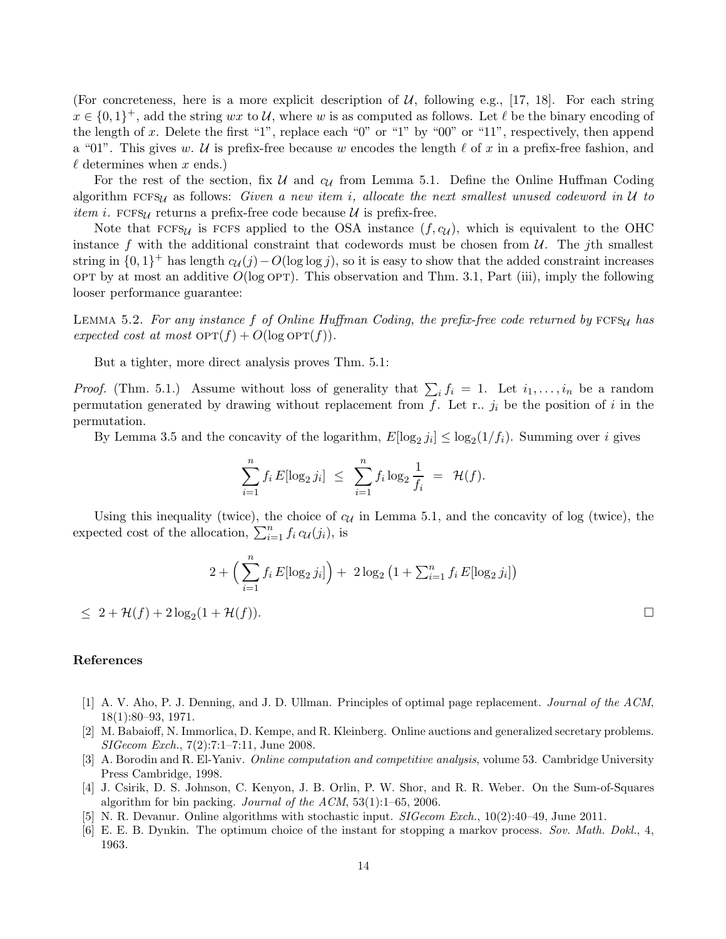(For concreteness, here is a more explicit description of  $U$ , following e.g., [\[17,](#page-14-22) [18\]](#page-14-2). For each string  $x \in \{0,1\}^+$ , add the string wx to U, where w is as computed as follows. Let  $\ell$  be the binary encoding of the length of x. Delete the first "1", replace each "0" or "1" by "00" or "11", respectively, then append a "01". This gives w. U is prefix-free because w encodes the length  $\ell$  of x in a prefix-free fashion, and  $\ell$  determines when x ends.)

For the rest of the section, fix  $U$  and  $c_U$  from Lemma [5.1.](#page-12-1) Define the Online Huffman Coding algorithm  $FCFS_{\mathcal{U}}$  as follows: Given a new item i, allocate the next smallest unused codeword in  $\mathcal{U}$  to *item i.* FCFS<sub>U</sub> returns a prefix-free code because  $U$  is prefix-free.

Note that  $FCFSU$  is FCFS applied to the OSA instance  $(f, cU)$ , which is equivalent to the OHC instance f with the additional constraint that codewords must be chosen from  $\mathcal{U}$ . The jth smallest string in  $\{0, 1\}^+$  has length  $c_U(j) - O(\log \log j)$ , so it is easy to show that the added constraint increases OPT by at most an additive  $O(\log \text{OPT})$ . This observation and Thm. [3.1,](#page-12-0) Part (iii), imply the following looser performance guarantee:

LEMMA 5.2. For any instance f of Online Huffman Coding, the prefix-free code returned by  $FCFS_{\mathcal{U}}$  has expected cost at most  $\text{OPT}(f) + O(\log \text{OPT}(f)).$ 

<span id="page-13-6"></span>But a tighter, more direct analysis proves Thm. [5.1:](#page-12-0)

*Proof.* (Thm. [5.1.](#page-12-0)) Assume without loss of generality that  $\sum_i f_i = 1$ . Let  $i_1, \ldots, i_n$  be a random permutation generated by drawing without replacement from  $f$ . Let r..  $j_i$  be the position of i in the permutation.

By Lemma [3.5](#page-11-1) and the concavity of the logarithm,  $E[\log_2 j_i] \leq \log_2(1/f_i)$ . Summing over i gives

$$
\sum_{i=1}^{n} f_i E[\log_2 j_i] \leq \sum_{i=1}^{n} f_i \log_2 \frac{1}{f_i} = \mathcal{H}(f).
$$

Using this inequality (twice), the choice of  $c_{\mathcal{U}}$  in Lemma [5.1,](#page-12-1) and the concavity of log (twice), the expected cost of the allocation,  $\sum_{i=1}^{n} f_i c_{\mathcal{U}}(j_i)$ , is

$$
2 + \left(\sum_{i=1}^{n} f_i E[\log_2 j_i]\right) + 2\log_2\left(1 + \sum_{i=1}^{n} f_i E[\log_2 j_i]\right)
$$

 $\leq 2 + \mathcal{H}(f) + 2 \log_2(1 + \mathcal{H}(f)).$ 

#### References

- <span id="page-13-1"></span>[1] A. V. Aho, P. J. Denning, and J. D. Ullman. Principles of optimal page replacement. Journal of the ACM, 18(1):80–93, 1971.
- <span id="page-13-4"></span>[2] M. Babaioff, N. Immorlica, D. Kempe, and R. Kleinberg. Online auctions and generalized secretary problems. SIGecom Exch., 7(2):7:1–7:11, June 2008.
- <span id="page-13-0"></span>[3] A. Borodin and R. El-Yaniv. Online computation and competitive analysis, volume 53. Cambridge University Press Cambridge, 1998.
- <span id="page-13-2"></span>[4] J. Csirik, D. S. Johnson, C. Kenyon, J. B. Orlin, P. W. Shor, and R. R. Weber. On the Sum-of-Squares algorithm for bin packing. Journal of the ACM, 53(1):1–65, 2006.
- <span id="page-13-5"></span><span id="page-13-3"></span>[5] N. R. Devanur. Online algorithms with stochastic input. *SIGecom Exch.*, 10(2):40–49, June 2011.
- [6] E. E. B. Dynkin. The optimum choice of the instant for stopping a markov process. Sov. Math. Dokl., 4, 1963.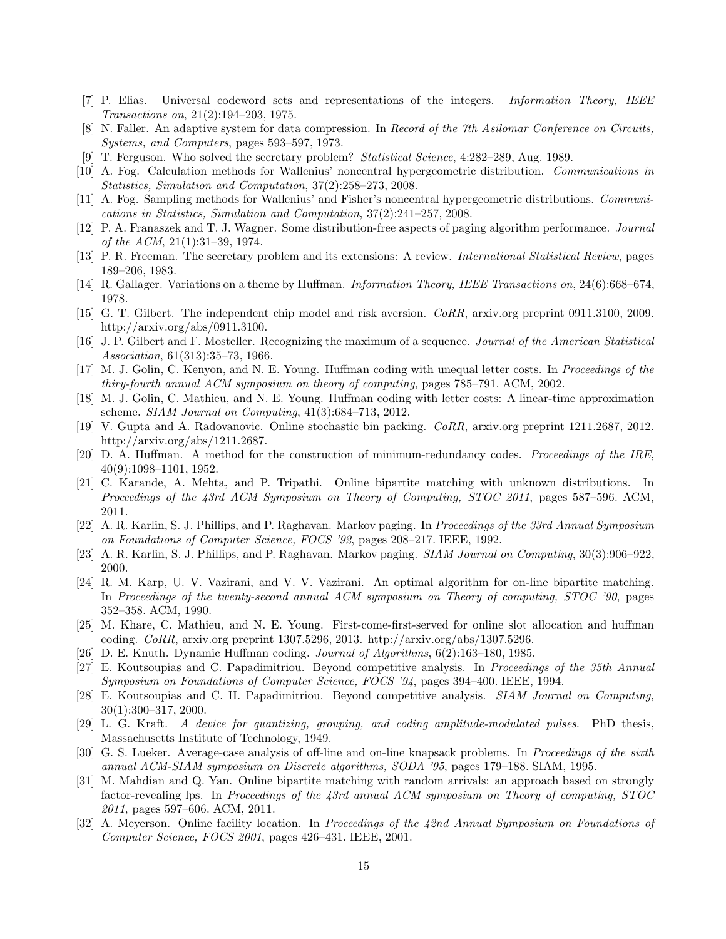- <span id="page-14-6"></span><span id="page-14-1"></span>[7] P. Elias. Universal codeword sets and representations of the integers. Information Theory, IEEE Transactions on, 21(2):194–203, 1975.
- <span id="page-14-16"></span>[8] N. Faller. An adaptive system for data compression. In Record of the 7th Asilomar Conference on Circuits, Systems, and Computers, pages 593–597, 1973.
- <span id="page-14-3"></span>[9] T. Ferguson. Who solved the secretary problem? Statistical Science, 4:282–289, Aug. 1989.
- <span id="page-14-4"></span>[10] A. Fog. Calculation methods for Wallenius' noncentral hypergeometric distribution. Communications in Statistics, Simulation and Computation, 37(2):258–273, 2008.
- [11] A. Fog. Sampling methods for Wallenius' and Fisher's noncentral hypergeometric distributions. Communications in Statistics, Simulation and Computation, 37(2):241–257, 2008.
- <span id="page-14-9"></span>[12] P. A. Franaszek and T. J. Wagner. Some distribution-free aspects of paging algorithm performance. Journal of the ACM, 21(1):31–39, 1974.
- <span id="page-14-17"></span><span id="page-14-7"></span>[13] P. R. Freeman. The secretary problem and its extensions: A review. International Statistical Review, pages 189–206, 1983.
- <span id="page-14-5"></span>[14] R. Gallager. Variations on a theme by Huffman. Information Theory, IEEE Transactions on, 24(6):668–674, 1978.
- [15] G. T. Gilbert. The independent chip model and risk aversion. CoRR, arxiv.org preprint 0911.3100, 2009. http://arxiv.org/abs/0911.3100.
- <span id="page-14-15"></span>[16] J. P. Gilbert and F. Mosteller. Recognizing the maximum of a sequence. Journal of the American Statistical Association, 61(313):35–73, 1966.
- <span id="page-14-22"></span>[17] M. J. Golin, C. Kenyon, and N. E. Young. Huffman coding with unequal letter costs. In Proceedings of the thiry-fourth annual ACM symposium on theory of computing, pages 785–791. ACM, 2002.
- <span id="page-14-2"></span>[18] M. J. Golin, C. Mathieu, and N. E. Young. Huffman coding with letter costs: A linear-time approximation scheme. SIAM Journal on Computing, 41(3):684–713, 2012.
- <span id="page-14-12"></span>[19] V. Gupta and A. Radovanovic. Online stochastic bin packing. CoRR, arxiv.org preprint 1211.2687, 2012. http://arxiv.org/abs/1211.2687.
- <span id="page-14-0"></span>[20] D. A. Huffman. A method for the construction of minimum-redundancy codes. Proceedings of the IRE, 40(9):1098–1101, 1952.
- <span id="page-14-19"></span>[21] C. Karande, A. Mehta, and P. Tripathi. Online bipartite matching with unknown distributions. In Proceedings of the 43rd ACM Symposium on Theory of Computing, STOC 2011, pages 587–596. ACM, 2011.
- [22] A. R. Karlin, S. J. Phillips, and P. Raghavan. Markov paging. In Proceedings of the 33rd Annual Symposium on Foundations of Computer Science, FOCS '92, pages 208–217. IEEE, 1992.
- <span id="page-14-20"></span><span id="page-14-10"></span>[23] A. R. Karlin, S. J. Phillips, and P. Raghavan. Markov paging. SIAM Journal on Computing, 30(3):906–922, 2000.
- [24] R. M. Karp, U. V. Vazirani, and V. V. Vazirani. An optimal algorithm for on-line bipartite matching. In Proceedings of the twenty-second annual ACM symposium on Theory of computing, STOC '90, pages 352–358. ACM, 1990.
- [25] M. Khare, C. Mathieu, and N. E. Young. First-come-first-served for online slot allocation and huffman coding. CoRR, arxiv.org preprint 1307.5296, 2013. http://arxiv.org/abs/1307.5296.
- <span id="page-14-8"></span>[26] D. E. Knuth. Dynamic Huffman coding. Journal of Algorithms, 6(2):163–180, 1985.
- [27] E. Koutsoupias and C. Papadimitriou. Beyond competitive analysis. In Proceedings of the 35th Annual Symposium on Foundations of Computer Science, FOCS '94, pages 394–400. IEEE, 1994.
- <span id="page-14-11"></span>[28] E. Koutsoupias and C. H. Papadimitriou. Beyond competitive analysis. SIAM Journal on Computing, 30(1):300–317, 2000.
- <span id="page-14-21"></span>[29] L. G. Kraft. A device for quantizing, grouping, and coding amplitude-modulated pulses. PhD thesis, Massachusetts Institute of Technology, 1949.
- <span id="page-14-13"></span>[30] G. S. Lueker. Average-case analysis of off-line and on-line knapsack problems. In Proceedings of the sixth annual ACM-SIAM symposium on Discrete algorithms, SODA '95, pages 179–188. SIAM, 1995.
- <span id="page-14-18"></span>[31] M. Mahdian and Q. Yan. Online bipartite matching with random arrivals: an approach based on strongly factor-revealing lps. In Proceedings of the 43rd annual ACM symposium on Theory of computing, STOC 2011, pages 597–606. ACM, 2011.
- <span id="page-14-14"></span>[32] A. Meyerson. Online facility location. In Proceedings of the 42nd Annual Symposium on Foundations of Computer Science, FOCS 2001, pages 426–431. IEEE, 2001.